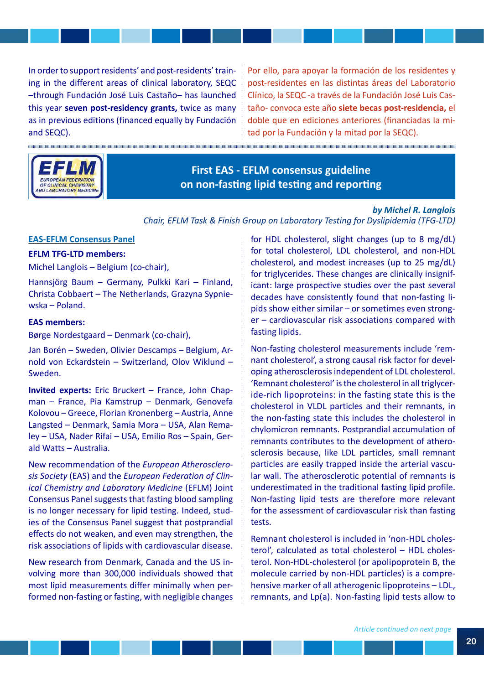In order to support residents' and post-residents' training in the different areas of clinical laboratory, SEQC –through Fundación José Luis Castaño– has launched this year **seven post-residency grants,** twice as many as in previous editions (financed equally by Fundación and SEQC).

...............

mmmm

Por ello, para apoyar la formación de los residentes y post-residentes en las distintas áreas del Laboratorio Clínico, la SEQC -a través de la Fundación José Luis Castaño- convoca este año **siete becas post-residencia,** el doble que en ediciones anteriores (financiadas la mitad por la Fundación y la mitad por la SEQC).



**DIAMANA DIAMANA DIAMANA DIAMANA DIAMANA DIAMANA DIAMANA DIAMANA DIAMANA DIAMANA DIAMANA DIAMANA DIAMANA DIAMAN** 

**First EAS - EFLM consensus guideline on non-fastng lipid testng and reportng**

#### *by Michel R. Langlois*

*Chair, EFLM Task & Finish Group on Laboratory Testing for Dyslipidemia (TFG-LTD)*

### **EAS-EFLM Consensus Panel**

ummum

# **EFLM TFG-LTD members:**

Michel Langlois – Belgium (co-chair),

Hannsjörg Baum – Germany, Pulkki Kari – Finland, Christa Cobbaert – The Netherlands, Grazyna Sypniewska – Poland.

### **EAS members:**

Børge Nordestgaard – Denmark (co-chair),

Jan Borén – Sweden, Olivier Descamps – Belgium, Arnold von Eckardstein – Switzerland, Olov Wiklund – Sweden.

**Invited experts:** Eric Bruckert – France, John Chapman – France, Pia Kamstrup – Denmark, Genovefa Kolovou – Greece, Florian Kronenberg – Austria, Anne Langsted – Denmark, Samia Mora – USA, Alan Remaley – USA, Nader Rifai – USA, Emilio Ros – Spain, Gerald Watts – Australia.

New recommendation of the *European Atherosclerosis Society* (EAS) and the *European Federation of Clinical Chemistry and Laboratory Medicine* (EFLM) Joint Consensus Panel suggests that fasting blood sampling is no longer necessary for lipid testing. Indeed, studies of the Consensus Panel suggest that postprandial effects do not weaken, and even may strengthen, the risk associations of lipids with cardiovascular disease.

New research from Denmark, Canada and the US involving more than 300,000 individuals showed that most lipid measurements differ minimally when performed non-fasting or fasting, with negligible changes for HDL cholesterol, slight changes (up to 8 mg/dL) for total cholesterol, LDL cholesterol, and non-HDL cholesterol, and modest increases (up to 25 mg/dL) for triglycerides. These changes are clinically insignificant: large prospective studies over the past several decades have consistently found that non-fasting lipids show either similar – or sometimes even stronger – cardiovascular risk associations compared with fasting lipids.

Non-fasting cholesterol measurements include 'remnant cholesterol', a strong causal risk factor for developing atherosclerosis independent of LDL cholesterol. 'Remnant cholesterol' is the cholesterol in all triglyceride-rich lipoproteins: in the fasting state this is the cholesterol in VLDL particles and their remnants, in the non-fasting state this includes the cholesterol in chylomicron remnants. Postprandial accumulation of remnants contributes to the development of atherosclerosis because, like LDL particles, small remnant particles are easily trapped inside the arterial vascular wall. The atherosclerotic potential of remnants is underestimated in the traditional fasting lipid profile. Non-fasting lipid tests are therefore more relevant for the assessment of cardiovascular risk than fasting tacts

Remnant cholesterol is included in 'non-HDL cholesterol', calculated as total cholesterol – HDL cholesterol. Non-HDL-cholesterol (or apolipoprotein B, the molecule carried by non-HDL particles) is a comprehensive marker of all atherogenic lipoproteins – LDL, remnants, and Lp(a). Non-fasting lipid tests allow to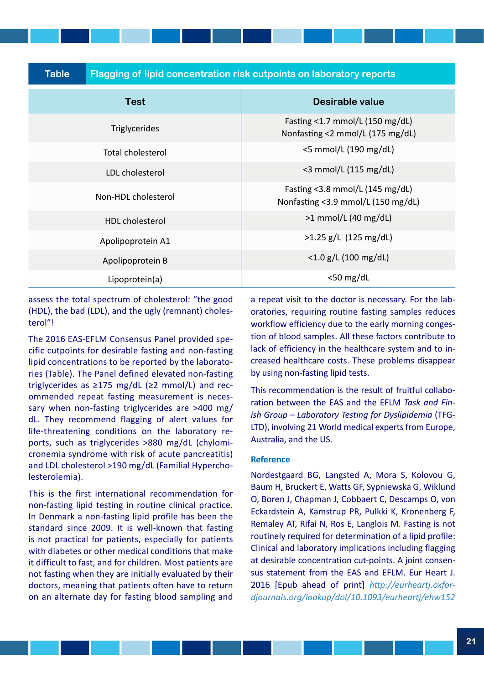**Table Flagging of lipid concentration risk cutpoints on laboratory reports**

| <b>Test</b>            | <b>Desirable value</b>                                                                               |  |  |  |  |
|------------------------|------------------------------------------------------------------------------------------------------|--|--|--|--|
| <b>Triglycerides</b>   | Fasting $<$ 1.7 mmol/L (150 mg/dL)<br>Nonfasting <2 mmol/L (175 mg/dL)                               |  |  |  |  |
| Total cholesterol      | $<$ 5 mmol/L (190 mg/dL)                                                                             |  |  |  |  |
| LDL cholesterol        | $<$ 3 mmol/L (115 mg/dL)<br>Fasting < $3.8$ mmol/L (145 mg/dL)<br>Nonfasting <3.9 mmol/L (150 mg/dL) |  |  |  |  |
| Non-HDL cholesterol    |                                                                                                      |  |  |  |  |
| <b>HDL</b> cholesterol | $>1$ mmol/L (40 mg/dL)                                                                               |  |  |  |  |
| Apolipoprotein A1      | $>1.25$ g/L (125 mg/dL)                                                                              |  |  |  |  |
| Apolipoprotein B       | $<$ 1.0 g/L (100 mg/dL)                                                                              |  |  |  |  |
| Lipoprotein(a)         | $<$ 50 mg/dL                                                                                         |  |  |  |  |

assess the total spectrum of cholesterol: "the good (HDL), the bad (LDL), and the ugly (remnant) cholesterol"!

The 2016 EAS-EFLM Consensus Panel provided specific cutpoints for desirable fasting and non-fasting lipid concentrations to be reported by the laboratories (Table). The Panel defined elevated non-fasting triglycerides as  $\geq$ 175 mg/dL ( $\geq$ 2 mmol/L) and recommended repeat fasting measurement is necessary when non-fasting triglycerides are >400 mg/ dL. They recommend flagging of alert values for life-threatening conditions on the laboratory reports, such as triglycerides >880 mg/dL (chylomicronemia syndrome with risk of acute pancreatitis) and LDL cholesterol >190 mg/dL (Familial Hypercholesterolemia).

This is the first international recommendation for non-fasting lipid testing in routine clinical practice. In Denmark a non-fasting lipid profile has been the standard since 2009. It is well-known that fasting is not practical for patients, especially for patients with diabetes or other medical conditions that make it difficult to fast, and for children. Most patients are not fasting when they are initially evaluated by their doctors, meaning that patients often have to return on an alternate day for fasting blood sampling and

a repeat visit to the doctor is necessary. For the laboratories, requiring routine fasting samples reduces workflow efficiency due to the early morning congestion of blood samples. All these factors contribute to lack of efficiency in the healthcare system and to increased healthcare costs. These problems disappear by using non-fasting lipid tests.

This recommendation is the result of fruitful collaboration between the EAS and the EFLM *Task and Finish Group – Laboratory Testing for Dyslipidemia* (TFG-LTD), involving 21 World medical experts from Europe, Australia, and the US.

### **Reference**

Nordestgaard BG, Langsted A, Mora S, Kolovou G, Baum H, Bruckert E, Watts GF, Sypniewska G, Wiklund O, Boren J, Chapman J, Cobbaert C, Descamps O, von Eckardstein A, Kamstrup PR, Pulkki K, Kronenberg F, Remaley AT, Rifai N, Ros E, Langlois M. Fasting is not routinely required for determination of a lipid profile: Clinical and laboratory implications including flagging at desirable concentration cut-points. A joint consensus statement from the EAS and EFLM. Eur Heart J. 2016 [Epub ahead of print] *htp://eurheartj.oxfordjournals.org/lookup/doi/10.1093/eurheartj/ehw152*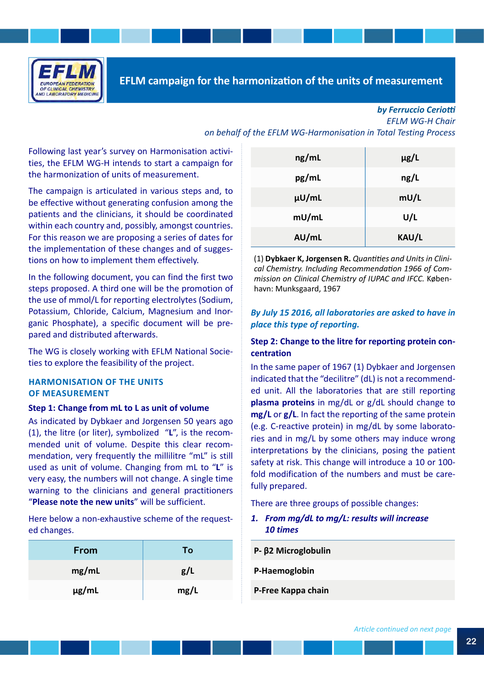

### *by Ferruccio Ceriot EFLM WG-H Chair on behalf of the EFLM WG-Harmonisation in Total Testing Process*

Following last year's survey on Harmonisation activities, the EFLM WG-H intends to start a campaign for the harmonization of units of measurement.

The campaign is articulated in various steps and, to be effective without generating confusion among the patients and the clinicians, it should be coordinated within each country and, possibly, amongst countries. For this reason we are proposing a series of dates for the implementation of these changes and of suggestions on how to implement them effectively.

In the following document, you can find the first two steps proposed. A third one will be the promotion of the use of mmol/L for reporting electrolytes (Sodium, Potassium, Chloride, Calcium, Magnesium and Inorganic Phosphate), a specific document will be prepared and distributed afterwards.

The WG is closely working with EFLM National Societies to explore the feasibility of the project.

## **HARMONISATION OF THE UNITS OF MEASUREMENT**

### **Step 1: Change from mL to L as unit of volume**

As indicated by Dybkaer and Jorgensen 50 years ago (1), the litre (or liter), symbolized "**L**", is the recommended unit of volume. Despite this clear recommendation, very frequently the millilitre "mL" is still used as unit of volume. Changing from mL to "**L**" is very easy, the numbers will not change. A single time warning to the clinicians and general practitioners "**Please note the new units**" will be sufficient.

Here below a non-exhaustive scheme of the requested changes.

| From       | To   |
|------------|------|
| mg/mL      | g/L  |
| $\mu$ g/mL | mg/L |

| ng/mL | $\mu$ g/L |
|-------|-----------|
| pg/mL | ng/L      |
| µU/mL | mU/L      |
| mU/mL | U/L       |
| AU/mL | KAU/L     |

(1) **Dybkaer K, Jorgensen R.** *Quanttes and Units in Clinical Chemistry. Including Recommendaton 1966 of Commission on Clinical Chemistry of IUPAC and IFCC.* København: Munksgaard, 1967

## *By July 15 2016, all laboratories are asked to have in place this type of reporting.*

## **Step 2: Change to the litre for reporting protein concentration**

In the same paper of 1967 (1) Dybkaer and Jorgensen indicated that the "decilitre" (dL) is not a recommended unit. All the laboratories that are still reporting **plasma proteins** in mg/dL or g/dL should change to **mg/L** or **g/L**. In fact the reporting of the same protein (e.g. C-reactive protein) in mg/dL by some laboratories and in mg/L by some others may induce wrong interpretations by the clinicians, posing the patient safety at risk. This change will introduce a 10 or 100 fold modification of the numbers and must be carefully prepared.

There are three groups of possible changes:

## *1. From mg/dL to mg/L: results will increase 10 times*

| $P - β2$ Microglobulin |  |
|------------------------|--|
| P-Haemoglobin          |  |
| P-Free Kappa chain     |  |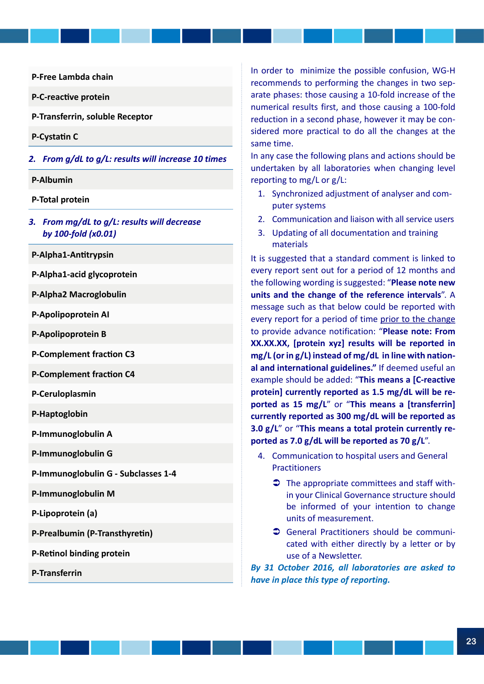**P-Free Lambda chain**

**P-C-reactive protein** 

**P-Transferrin, soluble Receptor** 

**P-Cystatn C**

- *2. From g/dL to g/L: results will increase 10 times*
- **P-Albumin**
- **P-Total protein**
- *3. From mg/dL to g/L: results will decrease by 100-fold (x0.01)*
- **P-Alpha1-Anttrypsin**
- **P-Alpha1-acid glycoprotein**

**P-Alpha2 Macroglobulin**

**P-Apolipoprotein AI**

**P-Apolipoprotein B**

**P-Complement fraction C3** 

**P-Complement fraction C4** 

**P-Ceruloplasmin**

**P-Haptoglobin**

**P-Immunoglobulin A**

**P-Immunoglobulin G**

**P-Immunoglobulin G - Subclasses 1-4**

**P-Immunoglobulin M**

**P-Lipoprotein (a)**

**P-Prealbumin (P-Transthyretn)**

**P-Retnol binding protein**

**P-Transferrin**

In order to minimize the possible confusion, WG-H recommends to performing the changes in two separate phases: those causing a 10-fold increase of the numerical results first, and those causing a 100-fold reduction in a second phase, however it may be considered more practical to do all the changes at the same time.

In any case the following plans and actions should be undertaken by all laboratories when changing level reporting to mg/L or g/L:

- 1. Synchronized adjustment of analyser and computer systems
- 2. Communication and liaison with all service users
- 3. Updating of all documentation and training materials

It is suggested that a standard comment is linked to every report sent out for a period of 12 months and the following wording is suggested: "**Please note new units and the change of the reference intervals**". A message such as that below could be reported with every report for a period of time prior to the change to provide advance notification: "**Please note: From XX.XX.XX, [protein xyz] results will be reported in mg/L (or in g/L) instead of mg/dL in line with national and international guidelines."** If deemed useful an example should be added: "**This means a [C-reactive protein] currently reported as 1.5 mg/dL will be reported as 15 mg/L**" or "**This means a [transferrin] currently reported as 300 mg/dL will be reported as 3.0 g/L**" or "**This means a total protein currently reported as 7.0 g/dL will be reported as 70 g/L**".

- 4. Communication to hospital users and General Practitioners
	- $\supset$  The appropriate committees and staff within your Clinical Governance structure should be informed of your intention to change units of measurement.
	- **C** General Practitioners should be communicated with either directly by a letter or by use of a Newsletter.

*By 31 October 2016, all laboratories are asked to have in place this type of reporting.*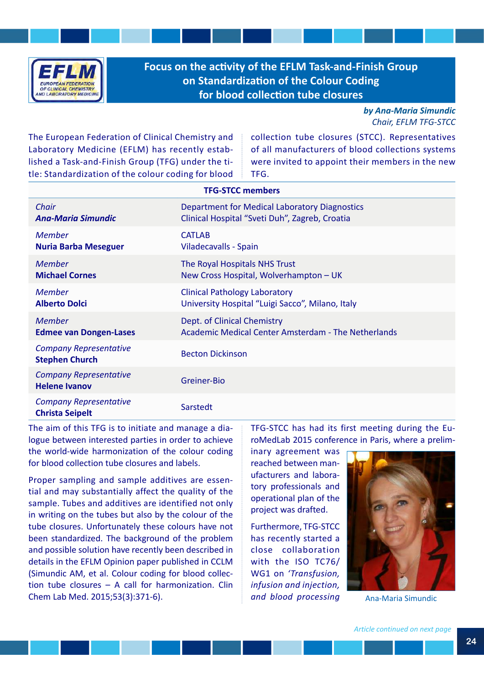

**Focus on the activity of the EFLM Task-and-Finish Group on Standardizaton of the Colour Coding** for blood collection tube closures

> *by Ana-Maria Simundic Chair, EFLM TFG-STCC*

The European Federation of Clinical Chemistry and Laboratory Medicine (EFLM) has recently established a Task-and-Finish Group (TFG) under the title: Standardization of the colour coding for blood collection tube closures (STCC). Representatives of all manufacturers of blood collections systems were invited to appoint their members in the new TFG.

|                                                         | <b>TFG-STCC members</b>                             |
|---------------------------------------------------------|-----------------------------------------------------|
| Chair                                                   | Department for Medical Laboratory Diagnostics       |
| <b>Ana-Maria Simundic</b>                               | Clinical Hospital "Sveti Duh", Zagreb, Croatia      |
| <b>Member</b>                                           | <b>CATLAB</b>                                       |
| <b>Nuria Barba Meseguer</b>                             | Viladecavalls - Spain                               |
| <b>Member</b>                                           | The Royal Hospitals NHS Trust                       |
| <b>Michael Cornes</b>                                   | New Cross Hospital, Wolverhampton - UK              |
| Member                                                  | <b>Clinical Pathology Laboratory</b>                |
| <b>Alberto Dolci</b>                                    | University Hospital "Luigi Sacco", Milano, Italy    |
| <b>Member</b>                                           | Dept. of Clinical Chemistry                         |
| <b>Edmee van Dongen-Lases</b>                           | Academic Medical Center Amsterdam - The Netherlands |
| <b>Company Representative</b><br><b>Stephen Church</b>  | <b>Becton Dickinson</b>                             |
| <b>Company Representative</b><br><b>Helene Ivanov</b>   | Greiner-Bio                                         |
| <b>Company Representative</b><br><b>Christa Seipelt</b> | Sarstedt                                            |

The aim of this TFG is to initiate and manage a dialogue between interested parties in order to achieve the world-wide harmonization of the colour coding for blood collection tube closures and labels.

Proper sampling and sample additives are essential and may substantially affect the quality of the sample. Tubes and additives are identified not only in writing on the tubes but also by the colour of the tube closures. Unfortunately these colours have not been standardized. The background of the problem and possible solution have recently been described in details in the EFLM Opinion paper published in CCLM (Simundic AM, et al. Colour coding for blood collection tube closures – A call for harmonization. Clin Chem Lab Med. 2015;53(3):371-6).

TFG-STCC has had its first meeting during the EuroMedLab 2015 conference in Paris, where a prelim-

inary agreement was reached between manufacturers and laboratory professionals and operational plan of the project was drafted.

Furthermore, TFG-STCC has recently started a close collaboration with the ISO TC76/ WG1 on *'Transfusion, infusion and injection, and blood processing* 



Ana-Maria Simundic

*Article continued on next page*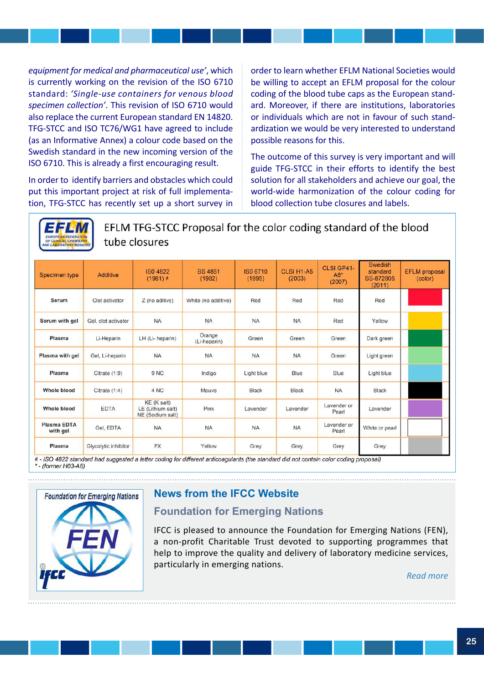*equipment for medical and pharmaceutical use'*, which is currently working on the revision of the ISO 6710 standard: *'Single-use containers for venous blood specimen collection'*. This revision of ISO 6710 would also replace the current European standard EN 14820. TFG-STCC and ISO TC76/WG1 have agreed to include (as an Informative Annex) a colour code based on the Swedish standard in the new incoming version of the ISO 6710. This is already a first encouraging result.

In order to identify barriers and obstacles which could put this important project at risk of full implementation, TFG-STCC has recently set up a short survey in order to learn whether EFLM National Societies would be willing to accept an EFLM proposal for the colour coding of the blood tube caps as the European standard. Moreover, if there are institutions, laboratories or individuals which are not in favour of such standardization we would be very interested to understand possible reasons for this.

The outcome of this survey is very important and will guide TFG-STCC in their efforts to identify the best solution for all stakeholders and achieve our goal, the world-wide harmonization of the colour coding for blood collection tube closures and labels.



EFLM TFG-STCC Proposal for the color coding standard of the blood tube closures

| Specimen type                  | Additive             | <b>ISO 4822</b><br>$(1981)$ $\neq$                   | <b>BS 4851</b><br>(1982) | ISO 6710<br>(1995) | CLSI H1-A5<br>(2003) | CLSI GP41-<br>A6*<br>(2007) | Swedish<br>standard<br>SS-872805<br>(2011) | <b>EFLM</b> proposal<br>(color) |
|--------------------------------|----------------------|------------------------------------------------------|--------------------------|--------------------|----------------------|-----------------------------|--------------------------------------------|---------------------------------|
| Serum                          | Clot activator       | Z (no aditive)                                       | White (no additive)      | Red                | Red                  | Red                         | Red                                        |                                 |
| Serum with gel                 | Gel, clot activator  | <b>NA</b>                                            | NA.                      | <b>NA</b>          | <b>NA</b>            | Red                         | Yellow                                     |                                 |
| Plasma                         | Li-Heparin           | LH (Li-heparin)                                      | Orange<br>(Li-heparin)   | Green              | Green                | Green                       | Dark green                                 |                                 |
| Plasma with gel                | Gel, Li-heparin      | <b>NA</b>                                            | <b>NA</b>                | <b>NA</b>          | <b>NA</b>            | Green                       | Light green                                |                                 |
| Plasma                         | Citrate $(1:9)$      | 9 <sub>NC</sub>                                      | Indigo                   | Light blue         | Blue                 | Blue                        | Light blue                                 |                                 |
| <b>Whole blood</b>             | Citrate (1:4)        | 4 NC                                                 | Mauve                    | Black              | Black                | <b>NA</b>                   | Black                                      |                                 |
| Whole blood                    | <b>EDTA</b>          | KE (K salt)<br>LE (Lithium salt)<br>NE (Sodium salt) | Pink                     | Lavender           | Lavender             | Lavender or<br>Pearl        | Lavender                                   |                                 |
| <b>Plasma EDTA</b><br>with gel | Gel, EDTA            | <b>NA</b>                                            | <b>NA</b>                | <b>NA</b>          | <b>NA</b>            | Lavender or<br>Pearl        | White or pearl                             |                                 |
| Plasma                         | Glycolytic inhibitor | <b>FX</b>                                            | Yellow                   | Grey               | Grey                 | Grey                        | Grey                                       |                                 |





# **News from the IFCC Website**

# **Foundation for Emerging Nations**

IFCC is pleased to announce the Foundation for Emerging Nations (FEN), a non-profit Charitable Trust devoted to supporting programmes that help to improve the quality and delivery of laboratory medicine services, particularly in emerging nations.

*Read more*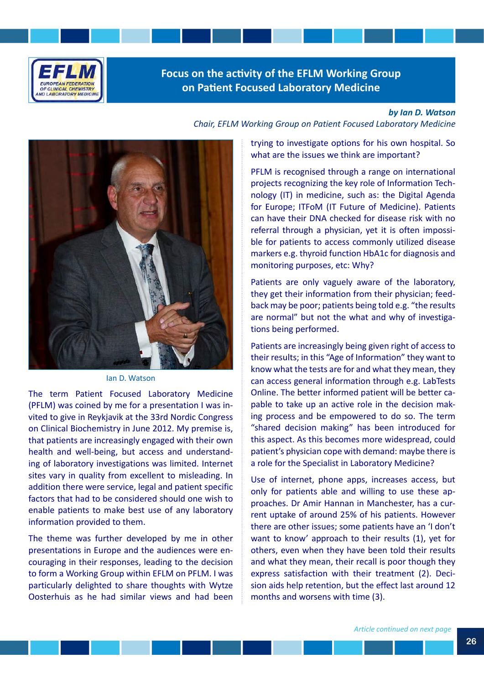

# **Focus on the activity of the EFLM Working Group on Patent Focused Laboratory Medicine**

### *by Ian D. Watson*



Ian D. Watson

The term Patient Focused Laboratory Medicine (PFLM) was coined by me for a presentation I was invited to give in Reykjavik at the 33rd Nordic Congress on Clinical Biochemistry in June 2012. My premise is, that patients are increasingly engaged with their own health and well-being, but access and understanding of laboratory investigations was limited. Internet sites vary in quality from excellent to misleading. In addition there were service, legal and patient specific factors that had to be considered should one wish to enable patients to make best use of any laboratory information provided to them.

The theme was further developed by me in other presentations in Europe and the audiences were encouraging in their responses, leading to the decision to form a Working Group within EFLM on PFLM. I was particularly delighted to share thoughts with Wytze Oosterhuis as he had similar views and had been

trying to investigate options for his own hospital. So

what are the issues we think are important?

*Chair, EFLM Working Group on Patient Focused Laboratory Medicine*

PFLM is recognised through a range on international projects recognizing the key role of Information Technology (IT) in medicine, such as: the Digital Agenda for Europe; ITFoM (IT Future of Medicine). Patients can have their DNA checked for disease risk with no referral through a physician, yet it is often impossible for patients to access commonly utilized disease markers e.g. thyroid function HbA1c for diagnosis and monitoring purposes, etc: Why?

Patients are only vaguely aware of the laboratory, they get their information from their physician; feedback may be poor; patients being told e.g. "the results are normal" but not the what and why of investigations being performed.

Patients are increasingly being given right of access to their results; in this "Age of Information" they want to know what the tests are for and what they mean, they can access general information through e.g. LabTests Online. The better informed patient will be better capable to take up an active role in the decision making process and be empowered to do so. The term "shared decision making" has been introduced for this aspect. As this becomes more widespread, could patient's physician cope with demand: maybe there is a role for the Specialist in Laboratory Medicine?

Use of internet, phone apps, increases access, but only for patients able and willing to use these approaches. Dr Amir Hannan in Manchester, has a current uptake of around 25% of his patients. However there are other issues; some patients have an 'I don't want to know' approach to their results (1), yet for others, even when they have been told their results and what they mean, their recall is poor though they express satisfaction with their treatment (2). Decision aids help retention, but the effect last around 12 months and worsens with time (3).

*Article continued on next page*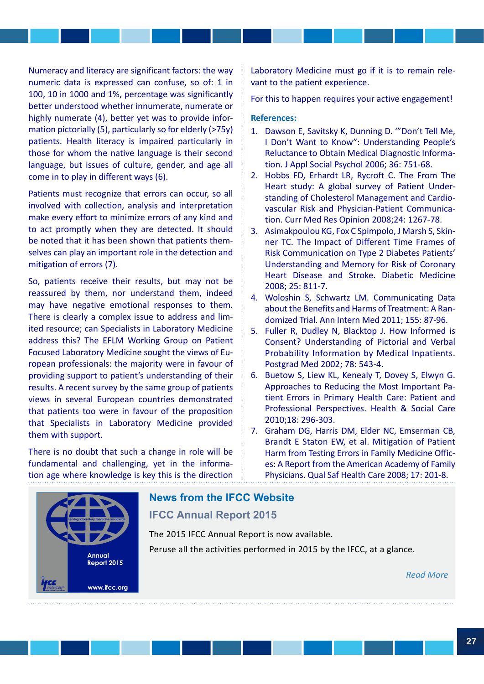Numeracy and literacy are significant factors: the way numeric data is expressed can confuse, so of: 1 in 100, 10 in 1000 and 1%, percentage was significantly better understood whether innumerate, numerate or highly numerate (4), better yet was to provide information pictorially (5), particularly so for elderly (>75y) patients. Health literacy is impaired particularly in those for whom the native language is their second language, but issues of culture, gender, and age all come in to play in different ways (6).

Patients must recognize that errors can occur, so all involved with collection, analysis and interpretation make every effort to minimize errors of any kind and to act promptly when they are detected. It should be noted that it has been shown that patients themselves can play an important role in the detection and mitigation of errors (7).

So, patients receive their results, but may not be reassured by them, nor understand them, indeed may have negative emotional responses to them. There is clearly a complex issue to address and limited resource; can Specialists in Laboratory Medicine address this? The EFLM Working Group on Patient Focused Laboratory Medicine sought the views of European professionals: the majority were in favour of providing support to patient's understanding of their results. A recent survey by the same group of patients views in several European countries demonstrated that patients too were in favour of the proposition that Specialists in Laboratory Medicine provided them with support.

There is no doubt that such a change in role will be fundamental and challenging, yet in the information age where knowledge is key this is the direction

Laboratory Medicine must go if it is to remain relevant to the patient experience.

For this to happen requires your active engagement!

### **References:**

- 1. Dawson E, Savitsky K, Dunning D. '"Don't Tell Me, I Don't Want to Know": Understanding People's Reluctance to Obtain Medical Diagnostic Information. J Appl Social Psychol 2006; 36: 751-68.
- 2. Hobbs FD, Erhardt LR, Rycroft C. The From The Heart study: A global survey of Patient Understanding of Cholesterol Management and Cardiovascular Risk and Physician-Patient Communication. Curr Med Res Opinion 2008;24: 1267-78.
- 3. Asimakpoulou KG, Fox C Spimpolo, J Marsh S, Skinner TC. The Impact of Different Time Frames of Risk Communication on Type 2 Diabetes Patients' Understanding and Memory for Risk of Coronary Heart Disease and Stroke. Diabetic Medicine 2008; 25: 811-7.
- 4. Woloshin S, Schwartz LM. Communicating Data about the Benefits and Harms of Treatment: A Randomized Trial. Ann Intern Med 2011; 155: 87-96.
- 5. Fuller R, Dudley N, Blacktop J. How Informed is Consent? Understanding of Pictorial and Verbal Probability Information by Medical Inpatients. Postgrad Med 2002; 78: 543-4.
- 6. Buetow S, Liew KL, Kenealy T, Dovey S, Elwyn G. Approaches to Reducing the Most Important Patient Errors in Primary Health Care: Patient and Professional Perspectives. Health & Social Care 2010;18: 296-303.
- 7. Graham DG, Harris DM, Elder NC, Emserman CB, Brandt E Staton EW, et al. Mitigation of Patient Harm from Testing Errors in Family Medicine Offices: A Report from the American Academy of Family Physicians. Qual Saf Health Care 2008; 17: 201-8.



# **News from the IFCC Website**

## **IFCC Annual Report 2015**

The 2015 IFCC Annual Report is now available. Peruse all the activities performed in 2015 by the IFCC, at a glance.

*Read More*